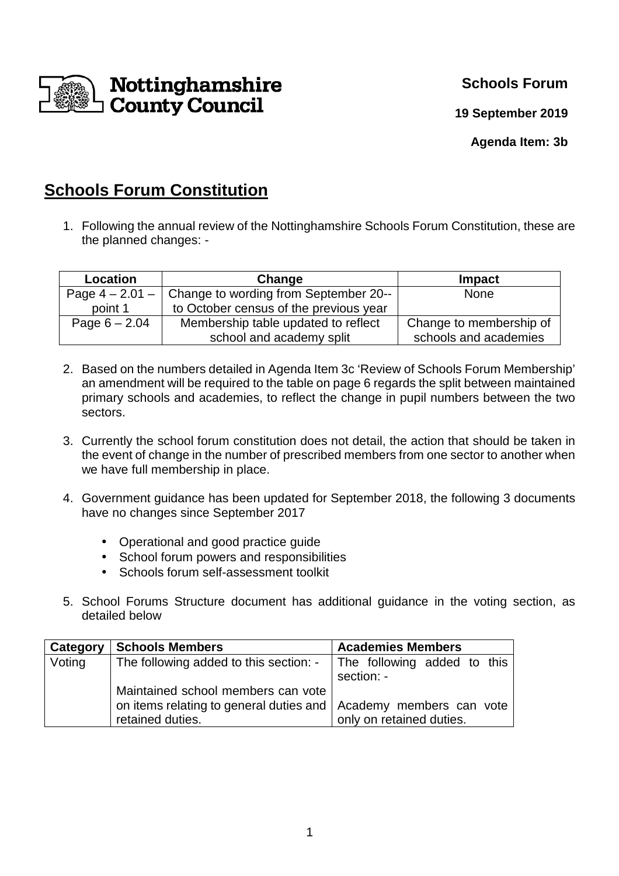

**Schools Forum** 

**19 September 2019**

**Agenda Item: 3b** 

## **Schools Forum Constitution**

1. Following the annual review of the Nottinghamshire Schools Forum Constitution, these are the planned changes: -

| <b>Location</b>   | Change                                 | Impact                  |
|-------------------|----------------------------------------|-------------------------|
| Page $4 - 2.01 -$ | Change to wording from September 20--  | <b>None</b>             |
| point 1           | to October census of the previous year |                         |
| Page $6 - 2.04$   | Membership table updated to reflect    | Change to membership of |
|                   | school and academy split               | schools and academies   |

- 2. Based on the numbers detailed in Agenda Item 3c 'Review of Schools Forum Membership' an amendment will be required to the table on page 6 regards the split between maintained primary schools and academies, to reflect the change in pupil numbers between the two sectors.
- 3. Currently the school forum constitution does not detail, the action that should be taken in the event of change in the number of prescribed members from one sector to another when we have full membership in place.
- 4. Government guidance has been updated for September 2018, the following 3 documents have no changes since September 2017
	- Operational and good practice guide
	- School forum powers and responsibilities
	- Schools forum self-assessment toolkit
- 5. School Forums Structure document has additional guidance in the voting section, as detailed below

| Category | <b>Schools Members</b>                                                         | <b>Academies Members</b> |  |  |  |
|----------|--------------------------------------------------------------------------------|--------------------------|--|--|--|
| Voting   | The following added to this section: $\frac{1}{1}$ The following added to this |                          |  |  |  |
|          |                                                                                | section: -               |  |  |  |
|          | Maintained school members can vote                                             |                          |  |  |  |
|          | on items relating to general duties and   Academy members can vote             |                          |  |  |  |
|          | retained duties.                                                               | only on retained duties. |  |  |  |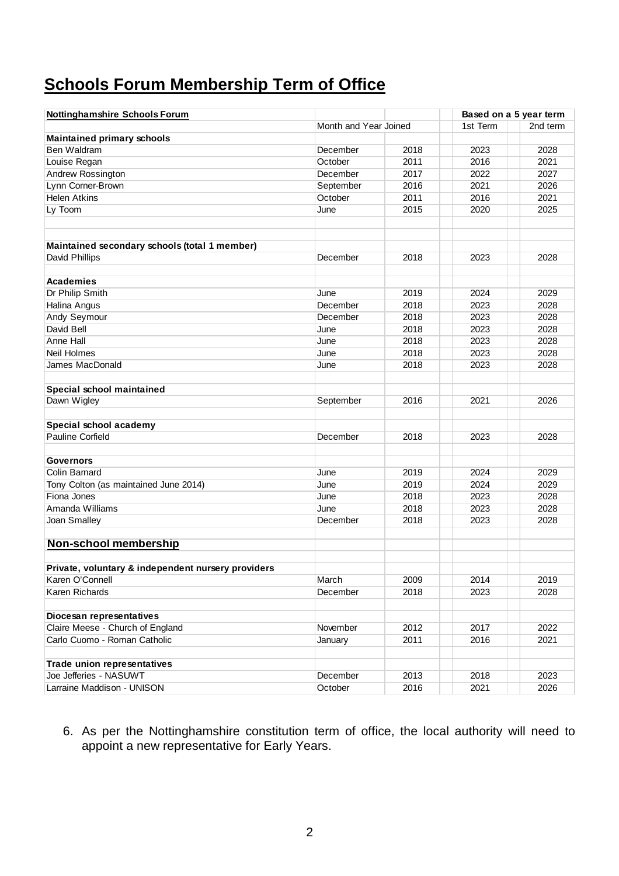## **Schools Forum Membership Term of Office**

| Month and Year Joined<br>1st Term<br>2nd term<br><b>Maintained primary schools</b><br>Ben Waldram<br>2018<br>2023<br>2028<br>December<br>October<br>2011<br>2016<br>2021<br>Louise Regan<br>December<br>2017<br>2022<br>2027<br>Andrew Rossington<br>Lynn Corner-Brown<br>September<br>2016<br>2021<br>2026<br><b>Helen Atkins</b><br>October<br>2011<br>2016<br>2021<br>Ly Toom<br>2015<br>2020<br>2025<br>June<br>Maintained secondary schools (total 1 member)<br>2018<br>2023<br>2028<br>David Phillips<br>December<br><b>Academies</b><br>Dr Philip Smith<br>2019<br>2024<br>2029<br>June<br>Halina Angus<br>December<br>2018<br>2023<br>2028<br>Andy Seymour<br>December<br>2018<br>2023<br>2028<br>David Bell<br>June<br>2018<br>2023<br>2028<br>Anne Hall<br>June<br>2023<br>2028<br>2018<br><b>Neil Holmes</b><br>2018<br>2023<br>2028<br>June<br>James MacDonald<br>2018<br>2023<br>2028<br>June<br>Special school maintained<br>Dawn Wigley<br>2016<br>2021<br>September<br>2026<br>Special school academy<br>Pauline Corfield<br>December<br>2018<br>2023<br>2028<br><b>Governors</b><br><b>Colin Barnard</b><br>2019<br>2024<br>2029<br>June<br>Tony Colton (as maintained June 2014)<br>2024<br>2029<br>June<br>2019<br>Fiona Jones<br>2018<br>2023<br>2028<br>June<br>2023<br>Amanda Williams<br>2018<br>2028<br>June<br>2018<br>2023<br>2028<br>Joan Smalley<br>December<br><b>Non-school membership</b><br>Private, voluntary & independent nursery providers<br>2009<br>2019<br>Karen O'Connell<br>March<br>2014<br>Karen Richards<br>December<br>2018<br>2023<br>2028<br>Diocesan representatives<br>Claire Meese - Church of England<br>November<br>2012<br>2017<br>2022<br>Carlo Cuomo - Roman Catholic<br>2011<br>2016<br>2021<br>January<br>Trade union representatives<br>Joe Jefferies - NASUWT<br>December<br>2013<br>2018<br>2023<br>Larraine Maddison - UNISON<br>October<br>2016<br>2021<br>2026 | <b>Nottinghamshire Schools Forum</b> |  | Based on a 5 year term |  |
|-------------------------------------------------------------------------------------------------------------------------------------------------------------------------------------------------------------------------------------------------------------------------------------------------------------------------------------------------------------------------------------------------------------------------------------------------------------------------------------------------------------------------------------------------------------------------------------------------------------------------------------------------------------------------------------------------------------------------------------------------------------------------------------------------------------------------------------------------------------------------------------------------------------------------------------------------------------------------------------------------------------------------------------------------------------------------------------------------------------------------------------------------------------------------------------------------------------------------------------------------------------------------------------------------------------------------------------------------------------------------------------------------------------------------------------------------------------------------------------------------------------------------------------------------------------------------------------------------------------------------------------------------------------------------------------------------------------------------------------------------------------------------------------------------------------------------------------------------------------------------------------------------------------------------------|--------------------------------------|--|------------------------|--|
|                                                                                                                                                                                                                                                                                                                                                                                                                                                                                                                                                                                                                                                                                                                                                                                                                                                                                                                                                                                                                                                                                                                                                                                                                                                                                                                                                                                                                                                                                                                                                                                                                                                                                                                                                                                                                                                                                                                               |                                      |  |                        |  |
|                                                                                                                                                                                                                                                                                                                                                                                                                                                                                                                                                                                                                                                                                                                                                                                                                                                                                                                                                                                                                                                                                                                                                                                                                                                                                                                                                                                                                                                                                                                                                                                                                                                                                                                                                                                                                                                                                                                               |                                      |  |                        |  |
|                                                                                                                                                                                                                                                                                                                                                                                                                                                                                                                                                                                                                                                                                                                                                                                                                                                                                                                                                                                                                                                                                                                                                                                                                                                                                                                                                                                                                                                                                                                                                                                                                                                                                                                                                                                                                                                                                                                               |                                      |  |                        |  |
|                                                                                                                                                                                                                                                                                                                                                                                                                                                                                                                                                                                                                                                                                                                                                                                                                                                                                                                                                                                                                                                                                                                                                                                                                                                                                                                                                                                                                                                                                                                                                                                                                                                                                                                                                                                                                                                                                                                               |                                      |  |                        |  |
|                                                                                                                                                                                                                                                                                                                                                                                                                                                                                                                                                                                                                                                                                                                                                                                                                                                                                                                                                                                                                                                                                                                                                                                                                                                                                                                                                                                                                                                                                                                                                                                                                                                                                                                                                                                                                                                                                                                               |                                      |  |                        |  |
|                                                                                                                                                                                                                                                                                                                                                                                                                                                                                                                                                                                                                                                                                                                                                                                                                                                                                                                                                                                                                                                                                                                                                                                                                                                                                                                                                                                                                                                                                                                                                                                                                                                                                                                                                                                                                                                                                                                               |                                      |  |                        |  |
|                                                                                                                                                                                                                                                                                                                                                                                                                                                                                                                                                                                                                                                                                                                                                                                                                                                                                                                                                                                                                                                                                                                                                                                                                                                                                                                                                                                                                                                                                                                                                                                                                                                                                                                                                                                                                                                                                                                               |                                      |  |                        |  |
|                                                                                                                                                                                                                                                                                                                                                                                                                                                                                                                                                                                                                                                                                                                                                                                                                                                                                                                                                                                                                                                                                                                                                                                                                                                                                                                                                                                                                                                                                                                                                                                                                                                                                                                                                                                                                                                                                                                               |                                      |  |                        |  |
|                                                                                                                                                                                                                                                                                                                                                                                                                                                                                                                                                                                                                                                                                                                                                                                                                                                                                                                                                                                                                                                                                                                                                                                                                                                                                                                                                                                                                                                                                                                                                                                                                                                                                                                                                                                                                                                                                                                               |                                      |  |                        |  |
|                                                                                                                                                                                                                                                                                                                                                                                                                                                                                                                                                                                                                                                                                                                                                                                                                                                                                                                                                                                                                                                                                                                                                                                                                                                                                                                                                                                                                                                                                                                                                                                                                                                                                                                                                                                                                                                                                                                               |                                      |  |                        |  |
|                                                                                                                                                                                                                                                                                                                                                                                                                                                                                                                                                                                                                                                                                                                                                                                                                                                                                                                                                                                                                                                                                                                                                                                                                                                                                                                                                                                                                                                                                                                                                                                                                                                                                                                                                                                                                                                                                                                               |                                      |  |                        |  |
|                                                                                                                                                                                                                                                                                                                                                                                                                                                                                                                                                                                                                                                                                                                                                                                                                                                                                                                                                                                                                                                                                                                                                                                                                                                                                                                                                                                                                                                                                                                                                                                                                                                                                                                                                                                                                                                                                                                               |                                      |  |                        |  |
|                                                                                                                                                                                                                                                                                                                                                                                                                                                                                                                                                                                                                                                                                                                                                                                                                                                                                                                                                                                                                                                                                                                                                                                                                                                                                                                                                                                                                                                                                                                                                                                                                                                                                                                                                                                                                                                                                                                               |                                      |  |                        |  |
|                                                                                                                                                                                                                                                                                                                                                                                                                                                                                                                                                                                                                                                                                                                                                                                                                                                                                                                                                                                                                                                                                                                                                                                                                                                                                                                                                                                                                                                                                                                                                                                                                                                                                                                                                                                                                                                                                                                               |                                      |  |                        |  |
|                                                                                                                                                                                                                                                                                                                                                                                                                                                                                                                                                                                                                                                                                                                                                                                                                                                                                                                                                                                                                                                                                                                                                                                                                                                                                                                                                                                                                                                                                                                                                                                                                                                                                                                                                                                                                                                                                                                               |                                      |  |                        |  |
|                                                                                                                                                                                                                                                                                                                                                                                                                                                                                                                                                                                                                                                                                                                                                                                                                                                                                                                                                                                                                                                                                                                                                                                                                                                                                                                                                                                                                                                                                                                                                                                                                                                                                                                                                                                                                                                                                                                               |                                      |  |                        |  |
|                                                                                                                                                                                                                                                                                                                                                                                                                                                                                                                                                                                                                                                                                                                                                                                                                                                                                                                                                                                                                                                                                                                                                                                                                                                                                                                                                                                                                                                                                                                                                                                                                                                                                                                                                                                                                                                                                                                               |                                      |  |                        |  |
|                                                                                                                                                                                                                                                                                                                                                                                                                                                                                                                                                                                                                                                                                                                                                                                                                                                                                                                                                                                                                                                                                                                                                                                                                                                                                                                                                                                                                                                                                                                                                                                                                                                                                                                                                                                                                                                                                                                               |                                      |  |                        |  |
|                                                                                                                                                                                                                                                                                                                                                                                                                                                                                                                                                                                                                                                                                                                                                                                                                                                                                                                                                                                                                                                                                                                                                                                                                                                                                                                                                                                                                                                                                                                                                                                                                                                                                                                                                                                                                                                                                                                               |                                      |  |                        |  |
|                                                                                                                                                                                                                                                                                                                                                                                                                                                                                                                                                                                                                                                                                                                                                                                                                                                                                                                                                                                                                                                                                                                                                                                                                                                                                                                                                                                                                                                                                                                                                                                                                                                                                                                                                                                                                                                                                                                               |                                      |  |                        |  |
|                                                                                                                                                                                                                                                                                                                                                                                                                                                                                                                                                                                                                                                                                                                                                                                                                                                                                                                                                                                                                                                                                                                                                                                                                                                                                                                                                                                                                                                                                                                                                                                                                                                                                                                                                                                                                                                                                                                               |                                      |  |                        |  |
|                                                                                                                                                                                                                                                                                                                                                                                                                                                                                                                                                                                                                                                                                                                                                                                                                                                                                                                                                                                                                                                                                                                                                                                                                                                                                                                                                                                                                                                                                                                                                                                                                                                                                                                                                                                                                                                                                                                               |                                      |  |                        |  |
|                                                                                                                                                                                                                                                                                                                                                                                                                                                                                                                                                                                                                                                                                                                                                                                                                                                                                                                                                                                                                                                                                                                                                                                                                                                                                                                                                                                                                                                                                                                                                                                                                                                                                                                                                                                                                                                                                                                               |                                      |  |                        |  |
|                                                                                                                                                                                                                                                                                                                                                                                                                                                                                                                                                                                                                                                                                                                                                                                                                                                                                                                                                                                                                                                                                                                                                                                                                                                                                                                                                                                                                                                                                                                                                                                                                                                                                                                                                                                                                                                                                                                               |                                      |  |                        |  |
|                                                                                                                                                                                                                                                                                                                                                                                                                                                                                                                                                                                                                                                                                                                                                                                                                                                                                                                                                                                                                                                                                                                                                                                                                                                                                                                                                                                                                                                                                                                                                                                                                                                                                                                                                                                                                                                                                                                               |                                      |  |                        |  |
|                                                                                                                                                                                                                                                                                                                                                                                                                                                                                                                                                                                                                                                                                                                                                                                                                                                                                                                                                                                                                                                                                                                                                                                                                                                                                                                                                                                                                                                                                                                                                                                                                                                                                                                                                                                                                                                                                                                               |                                      |  |                        |  |
|                                                                                                                                                                                                                                                                                                                                                                                                                                                                                                                                                                                                                                                                                                                                                                                                                                                                                                                                                                                                                                                                                                                                                                                                                                                                                                                                                                                                                                                                                                                                                                                                                                                                                                                                                                                                                                                                                                                               |                                      |  |                        |  |
|                                                                                                                                                                                                                                                                                                                                                                                                                                                                                                                                                                                                                                                                                                                                                                                                                                                                                                                                                                                                                                                                                                                                                                                                                                                                                                                                                                                                                                                                                                                                                                                                                                                                                                                                                                                                                                                                                                                               |                                      |  |                        |  |
|                                                                                                                                                                                                                                                                                                                                                                                                                                                                                                                                                                                                                                                                                                                                                                                                                                                                                                                                                                                                                                                                                                                                                                                                                                                                                                                                                                                                                                                                                                                                                                                                                                                                                                                                                                                                                                                                                                                               |                                      |  |                        |  |
|                                                                                                                                                                                                                                                                                                                                                                                                                                                                                                                                                                                                                                                                                                                                                                                                                                                                                                                                                                                                                                                                                                                                                                                                                                                                                                                                                                                                                                                                                                                                                                                                                                                                                                                                                                                                                                                                                                                               |                                      |  |                        |  |
|                                                                                                                                                                                                                                                                                                                                                                                                                                                                                                                                                                                                                                                                                                                                                                                                                                                                                                                                                                                                                                                                                                                                                                                                                                                                                                                                                                                                                                                                                                                                                                                                                                                                                                                                                                                                                                                                                                                               |                                      |  |                        |  |
|                                                                                                                                                                                                                                                                                                                                                                                                                                                                                                                                                                                                                                                                                                                                                                                                                                                                                                                                                                                                                                                                                                                                                                                                                                                                                                                                                                                                                                                                                                                                                                                                                                                                                                                                                                                                                                                                                                                               |                                      |  |                        |  |
|                                                                                                                                                                                                                                                                                                                                                                                                                                                                                                                                                                                                                                                                                                                                                                                                                                                                                                                                                                                                                                                                                                                                                                                                                                                                                                                                                                                                                                                                                                                                                                                                                                                                                                                                                                                                                                                                                                                               |                                      |  |                        |  |
|                                                                                                                                                                                                                                                                                                                                                                                                                                                                                                                                                                                                                                                                                                                                                                                                                                                                                                                                                                                                                                                                                                                                                                                                                                                                                                                                                                                                                                                                                                                                                                                                                                                                                                                                                                                                                                                                                                                               |                                      |  |                        |  |
|                                                                                                                                                                                                                                                                                                                                                                                                                                                                                                                                                                                                                                                                                                                                                                                                                                                                                                                                                                                                                                                                                                                                                                                                                                                                                                                                                                                                                                                                                                                                                                                                                                                                                                                                                                                                                                                                                                                               |                                      |  |                        |  |
|                                                                                                                                                                                                                                                                                                                                                                                                                                                                                                                                                                                                                                                                                                                                                                                                                                                                                                                                                                                                                                                                                                                                                                                                                                                                                                                                                                                                                                                                                                                                                                                                                                                                                                                                                                                                                                                                                                                               |                                      |  |                        |  |
|                                                                                                                                                                                                                                                                                                                                                                                                                                                                                                                                                                                                                                                                                                                                                                                                                                                                                                                                                                                                                                                                                                                                                                                                                                                                                                                                                                                                                                                                                                                                                                                                                                                                                                                                                                                                                                                                                                                               |                                      |  |                        |  |
|                                                                                                                                                                                                                                                                                                                                                                                                                                                                                                                                                                                                                                                                                                                                                                                                                                                                                                                                                                                                                                                                                                                                                                                                                                                                                                                                                                                                                                                                                                                                                                                                                                                                                                                                                                                                                                                                                                                               |                                      |  |                        |  |
|                                                                                                                                                                                                                                                                                                                                                                                                                                                                                                                                                                                                                                                                                                                                                                                                                                                                                                                                                                                                                                                                                                                                                                                                                                                                                                                                                                                                                                                                                                                                                                                                                                                                                                                                                                                                                                                                                                                               |                                      |  |                        |  |

6. As per the Nottinghamshire constitution term of office, the local authority will need to appoint a new representative for Early Years.